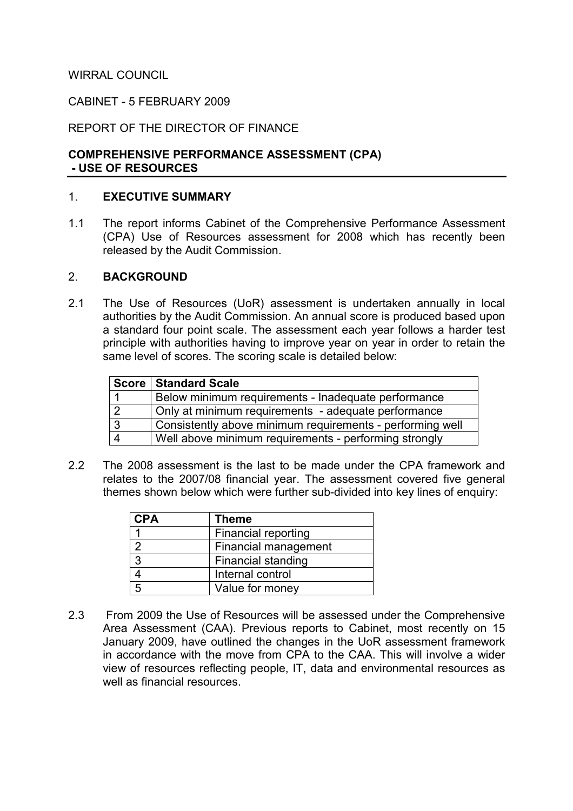### WIRRAL COUNCIL

### CABINET - 5 FEBRUARY 2009

### REPORT OF THE DIRECTOR OF FINANCE

### COMPREHENSIVE PERFORMANCE ASSESSMENT (CPA) - USE OF RESOURCES

#### 1. EXECUTIVE SUMMARY

1.1 The report informs Cabinet of the Comprehensive Performance Assessment (CPA) Use of Resources assessment for 2008 which has recently been released by the Audit Commission.

#### 2. BACKGROUND

2.1 The Use of Resources (UoR) assessment is undertaken annually in local authorities by the Audit Commission. An annual score is produced based upon a standard four point scale. The assessment each year follows a harder test principle with authorities having to improve year on year in order to retain the same level of scores. The scoring scale is detailed below:

|                | <b>Score   Standard Scale</b>                             |
|----------------|-----------------------------------------------------------|
|                | Below minimum requirements - Inadequate performance       |
| l 2            | Only at minimum requirements - adequate performance       |
| ı 3            | Consistently above minimum requirements - performing well |
| $\overline{4}$ | Well above minimum requirements - performing strongly     |

2.2 The 2008 assessment is the last to be made under the CPA framework and relates to the 2007/08 financial year. The assessment covered five general themes shown below which were further sub-divided into key lines of enquiry:

| <b>CPA</b>    | <b>Theme</b>              |
|---------------|---------------------------|
|               | Financial reporting       |
| $\mathcal{P}$ | Financial management      |
| $\mathbf{z}$  | <b>Financial standing</b> |
|               | Internal control          |
| 5             | Value for money           |

2.3 From 2009 the Use of Resources will be assessed under the Comprehensive Area Assessment (CAA). Previous reports to Cabinet, most recently on 15 January 2009, have outlined the changes in the UoR assessment framework in accordance with the move from CPA to the CAA. This will involve a wider view of resources reflecting people, IT, data and environmental resources as well as financial resources.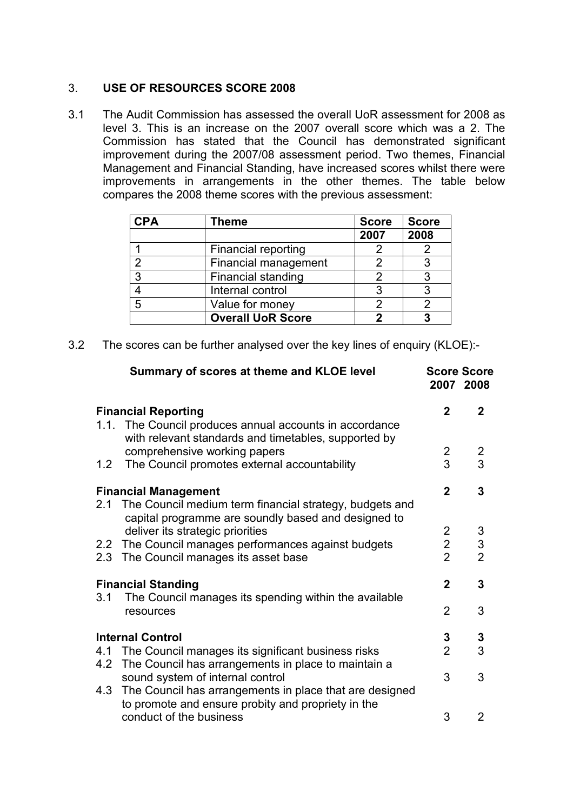# 3. USE OF RESOURCES SCORE 2008

3.1 The Audit Commission has assessed the overall UoR assessment for 2008 as level 3. This is an increase on the 2007 overall score which was a 2. The Commission has stated that the Council has demonstrated significant improvement during the 2007/08 assessment period. Two themes, Financial Management and Financial Standing, have increased scores whilst there were improvements in arrangements in the other themes. The table below compares the 2008 theme scores with the previous assessment:

| <b>CPA</b>    | Theme                     | <b>Score</b> | <b>Score</b> |
|---------------|---------------------------|--------------|--------------|
|               |                           | 2007         | 2008         |
|               | Financial reporting       |              |              |
| $\mathcal{P}$ | Financial management      | 2            |              |
| 3             | <b>Financial standing</b> | 2            |              |
|               | Internal control          | 3            |              |
| 5             | Value for money           | 2            |              |
|               | <b>Overall UoR Score</b>  | 7            |              |

3.2 The scores can be further analysed over the key lines of enquiry (KLOE):-

|                             | Summary of scores at theme and KLOE level                                                                          |                | <b>Score Score</b><br>2007 2008            |
|-----------------------------|--------------------------------------------------------------------------------------------------------------------|----------------|--------------------------------------------|
| <b>Financial Reporting</b>  |                                                                                                                    |                | $\mathbf{2}$                               |
|                             | 1.1. The Council produces annual accounts in accordance<br>with relevant standards and timetables, supported by    |                |                                            |
|                             | comprehensive working papers                                                                                       | $\overline{2}$ | $\overline{2}$                             |
| 1.2                         | The Council promotes external accountability                                                                       | 3              | 3                                          |
| <b>Financial Management</b> |                                                                                                                    |                | 3                                          |
|                             | 2.1 The Council medium term financial strategy, budgets and<br>capital programme are soundly based and designed to |                |                                            |
|                             | deliver its strategic priorities                                                                                   | $\overline{2}$ |                                            |
|                             | 2.2 The Council manages performances against budgets                                                               | $\overline{2}$ | $\begin{array}{c} 3 \\ 3 \\ 2 \end{array}$ |
|                             | 2.3 The Council manages its asset base                                                                             | $\overline{2}$ |                                            |
| <b>Financial Standing</b>   |                                                                                                                    | $\mathbf{2}$   | 3                                          |
| 3.1                         | The Council manages its spending within the available<br>resources                                                 | $\overline{2}$ | 3                                          |
| <b>Internal Control</b>     |                                                                                                                    | 3              | 3                                          |
|                             | 4.1 The Council manages its significant business risks                                                             | $\overline{2}$ | 3                                          |
|                             | 4.2 The Council has arrangements in place to maintain a<br>sound system of internal control                        | 3              | 3                                          |
|                             | 4.3 The Council has arrangements in place that are designed<br>to promote and ensure probity and propriety in the  |                |                                            |
|                             | conduct of the business                                                                                            | 3              | 2                                          |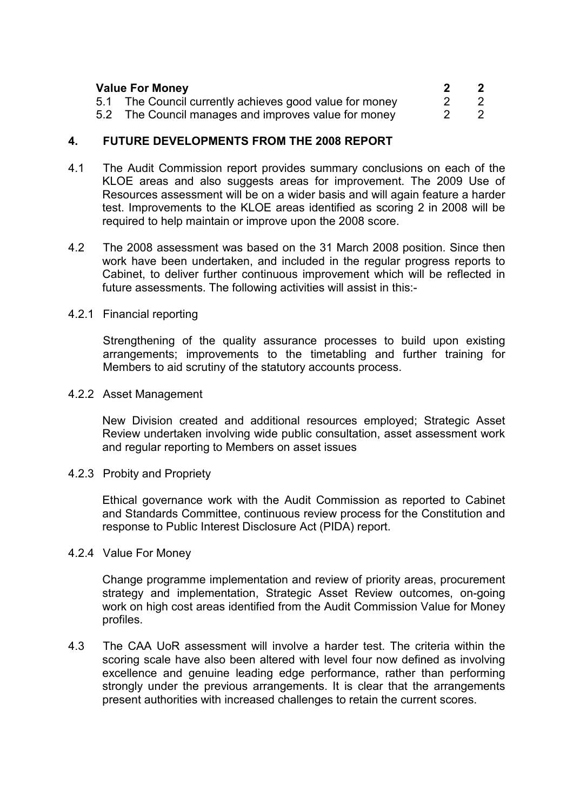| <b>Value For Money</b> |                                                         | $\overline{\mathbf{2}}$ |
|------------------------|---------------------------------------------------------|-------------------------|
|                        | 5.1 The Council currently achieves good value for money | -2                      |
|                        | 5.2 The Council manages and improves value for money    |                         |

### 4. FUTURE DEVELOPMENTS FROM THE 2008 REPORT

- 4.1 The Audit Commission report provides summary conclusions on each of the KLOE areas and also suggests areas for improvement. The 2009 Use of Resources assessment will be on a wider basis and will again feature a harder test. Improvements to the KLOE areas identified as scoring 2 in 2008 will be required to help maintain or improve upon the 2008 score.
- 4.2 The 2008 assessment was based on the 31 March 2008 position. Since then work have been undertaken, and included in the regular progress reports to Cabinet, to deliver further continuous improvement which will be reflected in future assessments. The following activities will assist in this:-
- 4.2.1 Financial reporting

Strengthening of the quality assurance processes to build upon existing arrangements; improvements to the timetabling and further training for Members to aid scrutiny of the statutory accounts process.

4.2.2 Asset Management

New Division created and additional resources employed; Strategic Asset Review undertaken involving wide public consultation, asset assessment work and regular reporting to Members on asset issues

4.2.3 Probity and Propriety

Ethical governance work with the Audit Commission as reported to Cabinet and Standards Committee, continuous review process for the Constitution and response to Public Interest Disclosure Act (PIDA) report.

#### 4.2.4 Value For Money

Change programme implementation and review of priority areas, procurement strategy and implementation, Strategic Asset Review outcomes, on-going work on high cost areas identified from the Audit Commission Value for Money profiles.

 4.3 The CAA UoR assessment will involve a harder test. The criteria within the scoring scale have also been altered with level four now defined as involving excellence and genuine leading edge performance, rather than performing strongly under the previous arrangements. It is clear that the arrangements present authorities with increased challenges to retain the current scores.